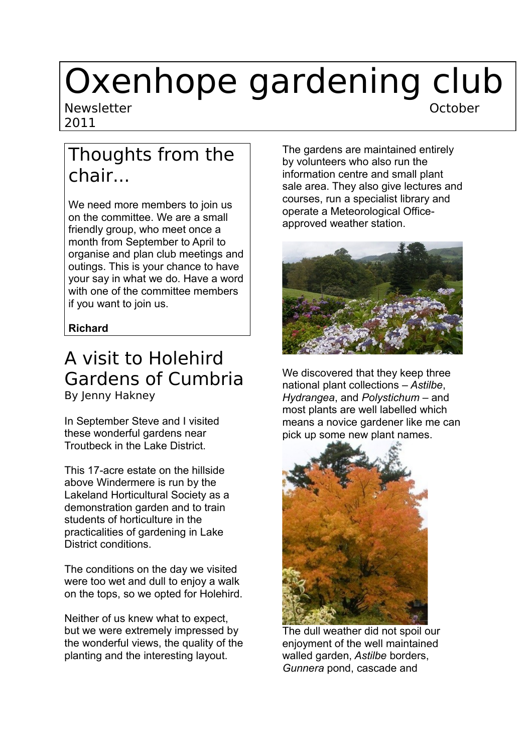# Oxenhope gardening club Newsletter and the control of the Community of the Community of the October

2011

### Thoughts from the chair...

We need more members to join us on the committee. We are a small friendly group, who meet once a month from September to April to organise and plan club meetings and outings. This is your chance to have your say in what we do. Have a word with one of the committee members if you want to join us.

#### **Richard**

### A visit to Holehird Gardens of Cumbria By Jenny Hakney

In September Steve and I visited these wonderful gardens near Troutbeck in the Lake District.

This 17-acre estate on the hillside above Windermere is run by the Lakeland Horticultural Society as a demonstration garden and to train students of horticulture in the practicalities of gardening in Lake District conditions.

The conditions on the day we visited were too wet and dull to enjoy a walk on the tops, so we opted for Holehird.

Neither of us knew what to expect, but we were extremely impressed by the wonderful views, the quality of the planting and the interesting layout.

The gardens are maintained entirely by volunteers who also run the information centre and small plant sale area. They also give lectures and courses, run a specialist library and operate a Meteorological Officeapproved weather station.



We discovered that they keep three national plant collections – *Astilbe*, *Hydrangea*, and *Polystichum* – and most plants are well labelled which means a novice gardener like me can pick up some new plant names.



The dull weather did not spoil our enjoyment of the well maintained walled garden, *Astilbe* borders, *Gunnera* pond, cascade and